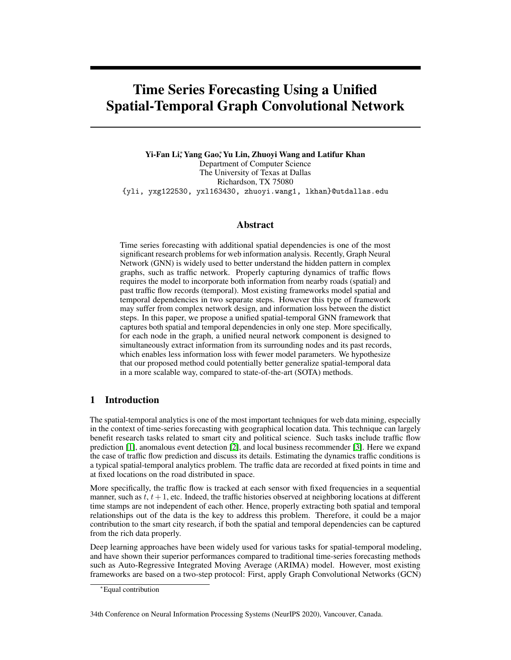# Time Series Forecasting Using a Unified Spatial-Temporal Graph Convolutional Network

Yi-Fan Li, Yang Gao, Yu Lin, Zhuoyi Wang and Latifur Khan Department of Computer Science The University of Texas at Dallas Richardson, TX 75080 {yli, yxg122530, yxl163430, zhuoyi.wang1, lkhan}@utdallas.edu

## Abstract

Time series forecasting with additional spatial dependencies is one of the most significant research problems for web information analysis. Recently, Graph Neural Network (GNN) is widely used to better understand the hidden pattern in complex graphs, such as traffic network. Properly capturing dynamics of traffic flows requires the model to incorporate both information from nearby roads (spatial) and past traffic flow records (temporal). Most existing frameworks model spatial and temporal dependencies in two separate steps. However this type of framework may suffer from complex network design, and information loss between the distict steps. In this paper, we propose a unified spatial-temporal GNN framework that captures both spatial and temporal dependencies in only one step. More specifically, for each node in the graph, a unified neural network component is designed to simultaneously extract information from its surrounding nodes and its past records, which enables less information loss with fewer model parameters. We hypothesize that our proposed method could potentially better generalize spatial-temporal data in a more scalable way, compared to state-of-the-art (SOTA) methods.

## 1 Introduction

The spatial-temporal analytics is one of the most important techniques for web data mining, especially in the context of time-series forecasting with geographical location data. This technique can largely benefit research tasks related to smart city and political science. Such tasks include traffic flow prediction [\[1\]](#page-6-0), anomalous event detection [\[2\]](#page-6-1), and local business recommender [\[3\]](#page-6-2). Here we expand the case of traffic flow prediction and discuss its details. Estimating the dynamics traffic conditions is a typical spatial-temporal analytics problem. The traffic data are recorded at fixed points in time and at fixed locations on the road distributed in space.

More specifically, the traffic flow is tracked at each sensor with fixed frequencies in a sequential manner, such as  $t, t+1$ , etc. Indeed, the traffic histories observed at neighboring locations at different time stamps are not independent of each other. Hence, properly extracting both spatial and temporal relationships out of the data is the key to address this problem. Therefore, it could be a major contribution to the smart city research, if both the spatial and temporal dependencies can be captured from the rich data properly.

Deep learning approaches have been widely used for various tasks for spatial-temporal modeling, and have shown their superior performances compared to traditional time-series forecasting methods such as Auto-Regressive Integrated Moving Average (ARIMA) model. However, most existing frameworks are based on a two-step protocol: First, apply Graph Convolutional Networks (GCN)

<sup>∗</sup>Equal contribution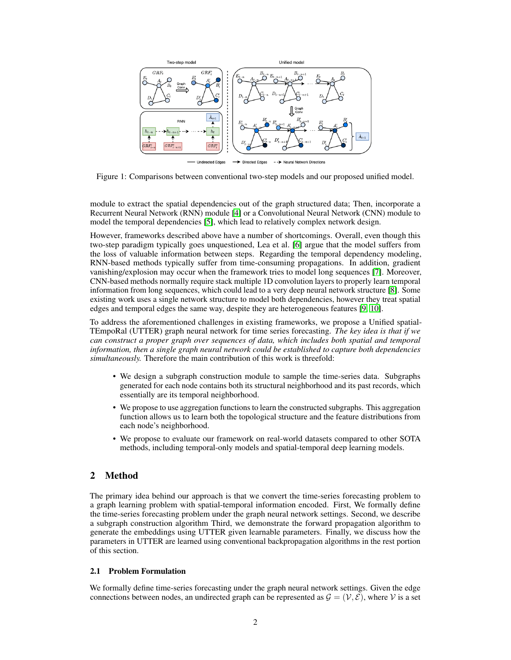

Figure 1: Comparisons between conventional two-step models and our proposed unified model.

module to extract the spatial dependencies out of the graph structured data; Then, incorporate a Recurrent Neural Network (RNN) module [\[4\]](#page-6-3) or a Convolutional Neural Network (CNN) module to model the temporal dependencies [\[5\]](#page-6-4), which lead to relatively complex network design.

However, frameworks described above have a number of shortcomings. Overall, even though this two-step paradigm typically goes unquestioned, Lea et al. [\[6\]](#page-6-5) argue that the model suffers from the loss of valuable information between steps. Regarding the temporal dependency modeling, RNN-based methods typically suffer from time-consuming propagations. In addition, gradient vanishing/explosion may occur when the framework tries to model long sequences [\[7\]](#page-6-6). Moreover, CNN-based methods normally require stack multiple 1D convolution layers to properly learn temporal information from long sequences, which could lead to a very deep neural network structure [\[8\]](#page-6-7). Some existing work uses a single network structure to model both dependencies, however they treat spatial edges and temporal edges the same way, despite they are heterogeneous features [\[9,](#page-6-8) [10\]](#page-6-9).

To address the aforementioned challenges in existing frameworks, we propose a Unified spatial-TEmpoRal (UTTER) graph neural network for time series forecasting. *The key idea is that if we can construct a proper graph over sequences of data, which includes both spatial and temporal information, then a single graph neural network could be established to capture both dependencies simultaneously.* Therefore the main contribution of this work is threefold:

- We design a subgraph construction module to sample the time-series data. Subgraphs generated for each node contains both its structural neighborhood and its past records, which essentially are its temporal neighborhood.
- We propose to use aggregation functions to learn the constructed subgraphs. This aggregation function allows us to learn both the topological structure and the feature distributions from each node's neighborhood.
- We propose to evaluate our framework on real-world datasets compared to other SOTA methods, including temporal-only models and spatial-temporal deep learning models.

## 2 Method

The primary idea behind our approach is that we convert the time-series forecasting problem to a graph learning problem with spatial-temporal information encoded. First, We formally define the time-series forecasting problem under the graph neural network settings. Second, we describe a subgraph construction algorithm Third, we demonstrate the forward propagation algorithm to generate the embeddings using UTTER given learnable parameters. Finally, we discuss how the parameters in UTTER are learned using conventional backpropagation algorithms in the rest portion of this section.

#### 2.1 Problem Formulation

We formally define time-series forecasting under the graph neural network settings. Given the edge connections between nodes, an undirected graph can be represented as  $\mathcal{G} = (\mathcal{V}, \mathcal{E})$ , where V is a set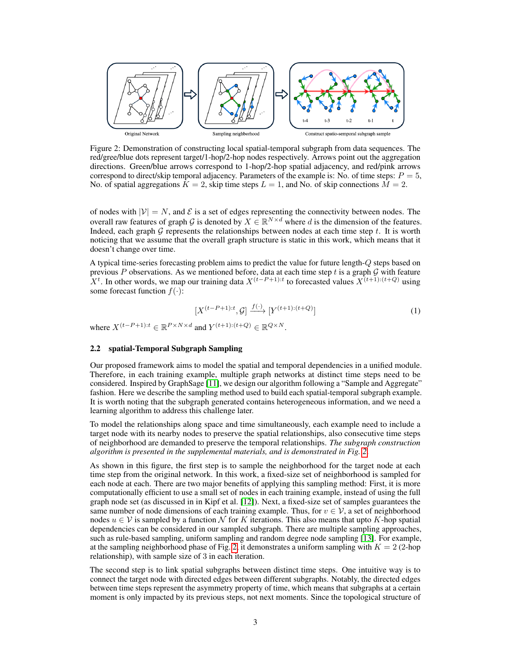

<span id="page-2-0"></span>Figure 2: Demonstration of constructing local spatial-temporal subgraph from data sequences. The red/gree/blue dots represent target/1-hop/2-hop nodes respectively. Arrows point out the aggregation directions. Green/blue arrows correspond to 1-hop/2-hop spatial adjacency, and red/pink arrows correspond to direct/skip temporal adjacency. Parameters of the example is: No. of time steps:  $P = 5$ , No. of spatial aggregations  $K = 2$ , skip time steps  $L = 1$ , and No. of skip connections  $M = 2$ .

of nodes with  $|V| = N$ , and  $\mathcal E$  is a set of edges representing the connectivity between nodes. The overall raw features of graph G is denoted by  $X \in \mathbb{R}^{N \times d}$  where d is the dimension of the features. Indeed, each graph G represents the relationships between nodes at each time step t. It is worth noticing that we assume that the overall graph structure is static in this work, which means that it doesn't change over time.

A typical time-series forecasting problem aims to predict the value for future length-Q steps based on previous P observations. As we mentioned before, data at each time step  $t$  is a graph  $\mathcal G$  with feature  $X^t$ . In other words, we map our training data  $X^{(t-P+1):t}$  to forecasted values  $X^{(t+1):(t+Q)}$  using some forecast function  $f(.)$ :

$$
[X^{(t-P+1):t}, \mathcal{G}] \xrightarrow{f(\cdot)} [Y^{(t+1):(t+Q)}]
$$
\n
$$
(1)
$$

where  $X^{(t-P+1):t} \in \mathbb{R}^{P \times N \times d}$  and  $Y^{(t+1):(t+Q)} \in \mathbb{R}^{Q \times N}$ .

#### 2.2 spatial-Temporal Subgraph Sampling

Our proposed framework aims to model the spatial and temporal dependencies in a unified module. Therefore, in each training example, multiple graph networks at distinct time steps need to be considered. Inspired by GraphSage [\[11\]](#page-6-10), we design our algorithm following a "Sample and Aggregate" fashion. Here we describe the sampling method used to build each spatial-temporal subgraph example. It is worth noting that the subgraph generated contains heterogeneous information, and we need a learning algorithm to address this challenge later.

To model the relationships along space and time simultaneously, each example need to include a target node with its nearby nodes to preserve the spatial relationships, also consecutive time steps of neighborhood are demanded to preserve the temporal relationships. *The subgraph construction algorithm is presented in the supplemental materials, and is demonstrated in Fig. [2](#page-2-0)*.

As shown in this figure, the first step is to sample the neighborhood for the target node at each time step from the original network. In this work, a fixed-size set of neighborhood is sampled for each node at each. There are two major benefits of applying this sampling method: First, it is more computationally efficient to use a small set of nodes in each training example, instead of using the full graph node set (as discussed in in Kipf et al. [\[12\]](#page-6-11)). Next, a fixed-size set of samples guarantees the same number of node dimensions of each training example. Thus, for  $v \in V$ , a set of neighborhood nodes  $u \in V$  is sampled by a function N for K iterations. This also means that upto K-hop spatial dependencies can be considered in our sampled subgraph. There are multiple sampling approaches, such as rule-based sampling, uniform sampling and random degree node sampling [\[13\]](#page-6-12). For example, at the sampling neighborhood phase of Fig. [2,](#page-2-0) it demonstrates a uniform sampling with  $K = 2$  (2-hop relationship), with sample size of 3 in each iteration.

The second step is to link spatial subgraphs between distinct time steps. One intuitive way is to connect the target node with directed edges between different subgraphs. Notably, the directed edges between time steps represent the asymmetry property of time, which means that subgraphs at a certain moment is only impacted by its previous steps, not next moments. Since the topological structure of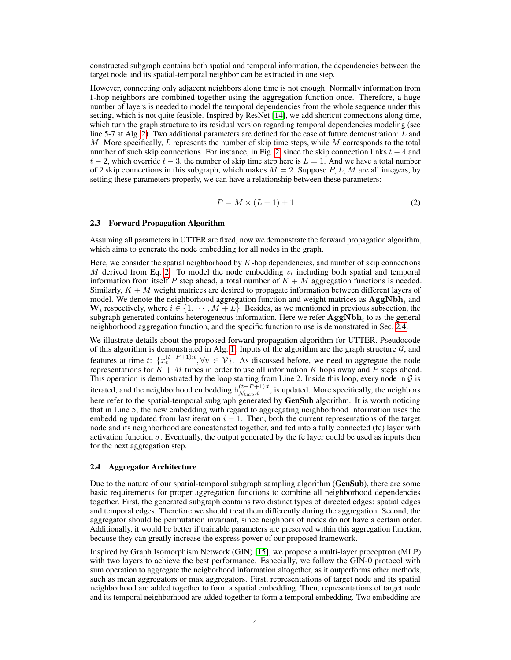constructed subgraph contains both spatial and temporal information, the dependencies between the target node and its spatial-temporal neighbor can be extracted in one step.

However, connecting only adjacent neighbors along time is not enough. Normally information from 1-hop neighbors are combined together using the aggregation function once. Therefore, a huge number of layers is needed to model the temporal dependencies from the whole sequence under this setting, which is not quite feasible. Inspired by ResNet [\[14\]](#page-6-13), we add shortcut connections along time, which turn the graph structure to its residual version regarding temporal dependencies modeling (see line 5-7 at Alg. 2). Two additional parameters are defined for the ease of future demonstration: L and M. More specifically,  $L$  represents the number of skip time steps, while  $M$  corresponds to the total number of such skip connections. For instance, in Fig. [2,](#page-2-0) since the skip connection links  $t - 4$  and  $t-2$ , which override  $t-3$ , the number of skip time step here is  $L = 1$ . And we have a total number of 2 skip connections in this subgraph, which makes  $M = 2$ . Suppose P, L, M are all integers, by setting these parameters properly, we can have a relationship between these parameters:

$$
P = M \times (L+1) + 1 \tag{2}
$$

#### <span id="page-3-0"></span>2.3 Forward Propagation Algorithm

Assuming all parameters in UTTER are fixed, now we demonstrate the forward propagation algorithm, which aims to generate the node embedding for all nodes in the graph.

Here, we consider the spatial neighborhood by  $K$ -hop dependencies, and number of skip connections M derived from Eq. [2.](#page-3-0) To model the node embedding  $v_t$  including both spatial and temporal information from itself P step ahead, a total number of  $K + M$  aggregation functions is needed. Similarly,  $K + M$  weight matrices are desired to propagate information between different layers of model. We denote the neighborhood aggregation function and weight matrices as  $\mathrm{AggNbh}_i$  and  $W_i$  respectively, where  $i \in \{1, \dots, M + L\}$ . Besides, as we mentioned in previous subsection, the subgraph generated contains heterogeneous information. Here we refer  $\mathrm{AggNbh}_i$  to as the general neighborhood aggregation function, and the specific function to use is demonstrated in Sec. [2.4.](#page-3-1)

We illustrate details about the proposed forward propagation algorithm for UTTER. Pseudocode of this algorithm is demonstrated in Alg. [1.](#page-4-0) Inputs of the algorithm are the graph structure  $G$ , and features at time t:  $\{x_v^{(t-P+1):t}, \forall v \in V\}$ . As discussed before, we need to aggregate the node representations for  $K + M$  times in order to use all information K hops away and P steps ahead. This operation is demonstrated by the loop starting from Line 2. Inside this loop, every node in  $\mathcal G$  is iterated, and the neighborhood embedding  $h_{\mathcal{N}_{tmp},i}^{(t-P+1):t}$ , is updated. More specifically, the neighbors here refer to the spatial-temporal subgraph generated by GenSub algorithm. It is worth noticing that in Line 5, the new embedding with regard to aggregating neighborhood information uses the embedding updated from last iteration  $i - 1$ . Then, both the current representations of the target node and its neighborhood are concatenated together, and fed into a fully connected (fc) layer with activation function  $\sigma$ . Eventually, the output generated by the fc layer could be used as inputs then for the next aggregation step.

#### <span id="page-3-1"></span>2.4 Aggregator Architecture

Due to the nature of our spatial-temporal subgraph sampling algorithm (**GenSub**), there are some basic requirements for proper aggregation functions to combine all neighborhood dependencies together. First, the generated subgraph contains two distinct types of directed edges: spatial edges and temporal edges. Therefore we should treat them differently during the aggregation. Second, the aggregator should be permutation invariant, since neighbors of nodes do not have a certain order. Additionally, it would be better if trainable parameters are preserved within this aggregation function, because they can greatly increase the express power of our proposed framework.

Inspired by Graph Isomorphism Network (GIN) [\[15\]](#page-6-14), we propose a multi-layer proceptron (MLP) with two layers to achieve the best performance. Especially, we follow the GIN-0 protocol with sum operation to aggregate the neigborhood information altogether, as it outperforms other methods, such as mean aggregators or max aggregators. First, representations of target node and its spatial neighborhood are added together to form a spatial embedding. Then, representations of target node and its temporal neighborhood are added together to form a temporal embedding. Two embedding are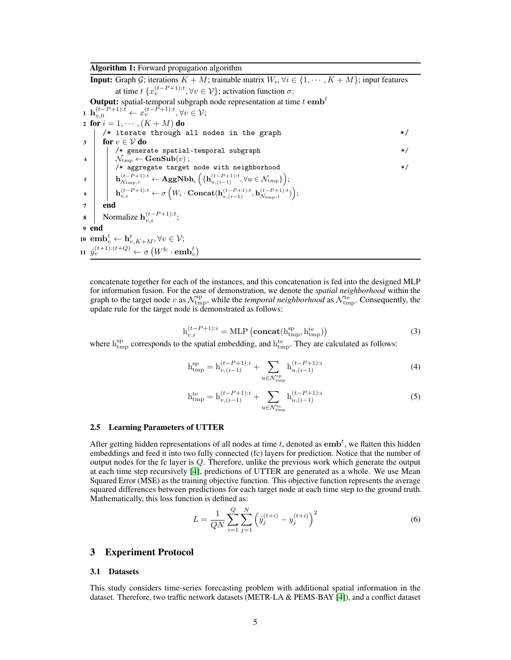Algorithm 1: Forward propagation algorithm

**Input:** Graph G; iterations  $K + M$ ; trainable matrix  $W_i, \forall i \in \{1, \dots, K + M\}$ ; input features at time  $t \{x_v^{(t-P+1):t}, \forall v \in \mathcal{V}\}$ ; activation function  $\sigma$ ; **Output:** spatial-temporal subgraph node representation at time  $t$  emb<sup>t</sup> 1 **h**<sub>v,0</sub><sup>(t-P+1):t</sup> ←  $x_v^{(t-P+1):t}, \forall v \in \mathcal{V}$ ; 2 for  $i = 1, \dots, (K + M)$  do /\* iterate through all nodes in the graph \*/  $3 \mid \text{for } v \in \mathcal{V}$  do /\* generate spatial-temporal subgraph \*/ 4  $\vert$   $\vert$   $\mathcal{N}_{\text{tmp}} \leftarrow \text{GenSub}(v)$ ; /\* aggregate target node with neighborhood \*/  $\mathfrak{s} \quad \Big| \quad \Big| \quad \mathbf{h}_{\mathcal{N}_{\text{tmp}},i}^{(t-P+1):t} \leftarrow \mathbf{AggNbh}_i\left(\{\mathbf{h}_{u,(i-1)}^{(t-P+1):t}, \forall u \in \mathcal{N}_{\text{tmp}}\}\right);$  $\mathbf{b} \quad \bigg| \qquad \bigg| \quad \mathbf{h}_{v,i}^{(t-P+1):t} \leftarrow \sigma\left(W_i \cdot \mathbf{Concat}(\mathbf{h}_{v,(i-1)}^{(t-P+1):t}, \mathbf{h}_{\mathcal{N}_{\text{tmp}},i}^{(t-P+1):t})\right);$  $7$  end 8 | Normalize  $\mathbf{h}_{v,i}^{(t-P+1):t}$ ; 9 end  $\mathbf{10} \ \ \mathbf{emb}^t_v \leftarrow \mathbf{h}_{v,K+M}^t, \forall v \in \mathcal{V};$  $11 \;\; \hat{y}^{(t+1):(t+Q)}_{v} \leftarrow \sigma\left(W^{\text{fc}} \cdot \mathbf{emb}^t_{v}\right)$ 

concatenate together for each of the instances, and this concatenation is fed into the designed MLP for information fusion. For the ease of demonstration, we denote the *spatial neighborhood* within the graph to the target node v as  $\mathcal{N}^{\text{sp}}_{\text{tmp}}$ , while the *temporal neighborhood* as  $\mathcal{N}^{\text{te}}_{\text{tmp}}$ . Consequently, the update rule for the target node is demonstrated as follows:

<span id="page-4-0"></span>
$$
h_{v,i}^{(t-P+1):i} = MLP\left(\text{concat}(h_{tmp}^{sp}, h_{tmp}^{te})\right)
$$
\n(3)

where  $h_{\text{tmp}}^{\text{sp}}$  corresponds to the spatial embedding, and  $h_{\text{tmp}}^{\text{te}}$ . They are calculated as follows:

$$
h_{\text{tmp}}^{\text{sp}} = h_{v,(i-1)}^{(t-P+1):i} + \sum_{u \in \mathcal{N}_{\text{tmp}}^{\text{sp}}} h_{u,(i-1)}^{(t-P+1):i}
$$
(4)

$$
h_{\text{tmp}}^{\text{te}} = h_{v,(i-1)}^{(t-P+1):i} + \sum_{u \in \mathcal{N}_{\text{tmp}}^{\text{te}}} h_{u,(i-1)}^{(t-P+1):i}
$$
(5)

#### 2.5 Learning Parameters of UTTER

After getting hidden representations of all nodes at time t, denoted as  $emb<sup>t</sup>$ , we flatten this hidden embeddings and feed it into two fully connected (fc) layers for prediction. Notice that the number of output nodes for the fc layer is  $Q$ . Therefore, unlike the previous work which generate the output at each time step recursively [\[4\]](#page-6-3), predictions of UTTER are generated as a whole. We use Mean Squared Error (MSE) as the training objective function. This objective function represents the average squared differences between predictions for each target node at each time step to the ground truth. Mathematically, this loss function is defined as:

$$
L = \frac{1}{QN} \sum_{i=1}^{Q} \sum_{j=1}^{N} \left( \hat{y}_j^{(t+i)} - y_j^{(t+i)} \right)^2
$$
 (6)

#### 3 Experiment Protocol

#### 3.1 Datasets

This study considers time-series forecasting problem with additional spatial information in the dataset. Therefore, two traffic network datasets (METR-LA & PEMS-BAY [\[4\]](#page-6-3)), and a conflict dataset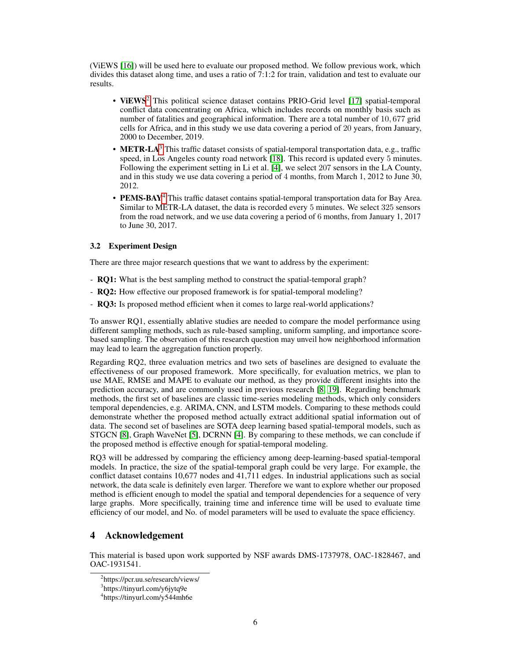(ViEWS [\[16\]](#page-6-15)) will be used here to evaluate our proposed method. We follow previous work, which divides this dataset along time, and uses a ratio of 7:1:2 for train, validation and test to evaluate our results.

- ViEWS<sup>[2](#page-5-0)</sup> This political science dataset contains PRIO-Grid level [\[17\]](#page-6-16) spatial-temporal conflict data concentrating on Africa, which includes records on monthly basis such as number of fatalities and geographical information. There are a total number of 10, 677 grid cells for Africa, and in this study we use data covering a period of 20 years, from January, 2000 to December, 2019.
- METR-LA<sup>[3](#page-5-1)</sup> This traffic dataset consists of spatial-temporal transportation data, e.g., traffic speed, in Los Angeles county road network [\[18\]](#page-6-17). This record is updated every 5 minutes. Following the experiment setting in Li et al. [\[4\]](#page-6-3), we select 207 sensors in the LA County, and in this study we use data covering a period of 4 months, from March 1, 2012 to June 30, 2012.
- PEMS-BAY<sup>[4](#page-5-2)</sup> This traffic dataset contains spatial-temporal transportation data for Bay Area. Similar to METR-LA dataset, the data is recorded every 5 minutes. We select 325 sensors from the road network, and we use data covering a period of 6 months, from January 1, 2017 to June 30, 2017.

#### 3.2 Experiment Design

There are three major research questions that we want to address by the experiment:

- **RQ1:** What is the best sampling method to construct the spatial-temporal graph?
- RQ2: How effective our proposed framework is for spatial-temporal modeling?
- RQ3: Is proposed method efficient when it comes to large real-world applications?

To answer RQ1, essentially ablative studies are needed to compare the model performance using different sampling methods, such as rule-based sampling, uniform sampling, and importance scorebased sampling. The observation of this research question may unveil how neighborhood information may lead to learn the aggregation function properly.

Regarding RQ2, three evaluation metrics and two sets of baselines are designed to evaluate the effectiveness of our proposed framework. More specifically, for evaluation metrics, we plan to use MAE, RMSE and MAPE to evaluate our method, as they provide different insights into the prediction accuracy, and are commonly used in previous research [\[8,](#page-6-7) [19\]](#page-6-18). Regarding benchmark methods, the first set of baselines are classic time-series modeling methods, which only considers temporal dependencies, e.g. ARIMA, CNN, and LSTM models. Comparing to these methods could demonstrate whether the proposed method actually extract additional spatial information out of data. The second set of baselines are SOTA deep learning based spatial-temporal models, such as STGCN [\[8\]](#page-6-7), Graph WaveNet [\[5\]](#page-6-4), DCRNN [\[4\]](#page-6-3). By comparing to these methods, we can conclude if the proposed method is effective enough for spatial-temporal modeling.

RQ3 will be addressed by comparing the efficiency among deep-learning-based spatial-temporal models. In practice, the size of the spatial-temporal graph could be very large. For example, the conflict dataset contains 10,677 nodes and 41,711 edges. In industrial applications such as social network, the data scale is definitely even larger. Therefore we want to explore whether our proposed method is efficient enough to model the spatial and temporal dependencies for a sequence of very large graphs. More specifically, training time and inference time will be used to evaluate time efficiency of our model, and No. of model parameters will be used to evaluate the space efficiency.

# 4 Acknowledgement

This material is based upon work supported by NSF awards DMS-1737978, OAC-1828467, and OAC-1931541.

<span id="page-5-0"></span><sup>&</sup>lt;sup>2</sup>https://pcr.uu.se/research/views/

<span id="page-5-1"></span><sup>3</sup> https://tinyurl.com/y6jytq9e

<span id="page-5-2"></span><sup>4</sup> https://tinyurl.com/y544mh6e